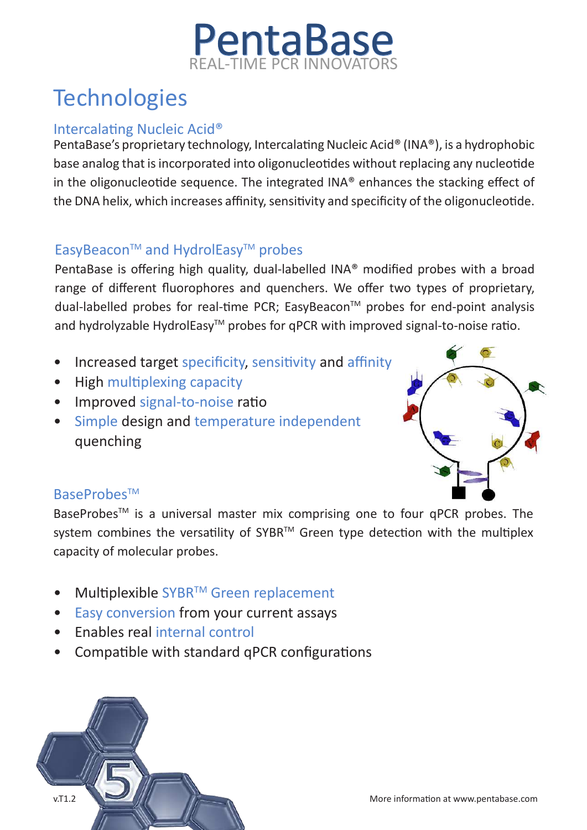# PentaBase L-TIME PCR INNOV

# **Technologies**

### Intercalating Nucleic Acid®

PentaBase's proprietary technology, Intercalating Nucleic Acid® (INA®), is a hydrophobic base analog that is incorporated into oligonucleotides without replacing any nucleotide in the oligonucleotide sequence. The integrated INA® enhances the stacking effect of the DNA helix, which increases affinity, sensitivity and specificity of the oligonucleotide.

## EasyBeacon™ and HydrolEasy™ probes

PentaBase is offering high quality, dual-labelled INA® modified probes with a broad range of different fluorophores and quenchers. We offer two types of proprietary, dual-labelled probes for real-time PCR; EasyBeacon™ probes for end-point analysis and hydrolyzable HydrolEasy™ probes for qPCR with improved signal-to-noise ratio.

- Increased target specificity, sensitivity and affinity
- High multiplexing capacity
- Improved signal-to-noise ratio
- Simple design and temperature independent quenching



### BaseProbes™

BaseProbes<sup>™</sup> is a universal master mix comprising one to four qPCR probes. The system combines the versatility of SYBR™ Green type detection with the multiplex capacity of molecular probes.

- Multiplexible SYBR™ Green replacement
- Easy conversion from your current assays
- Enables real internal control
- Compatible with standard qPCR configurations